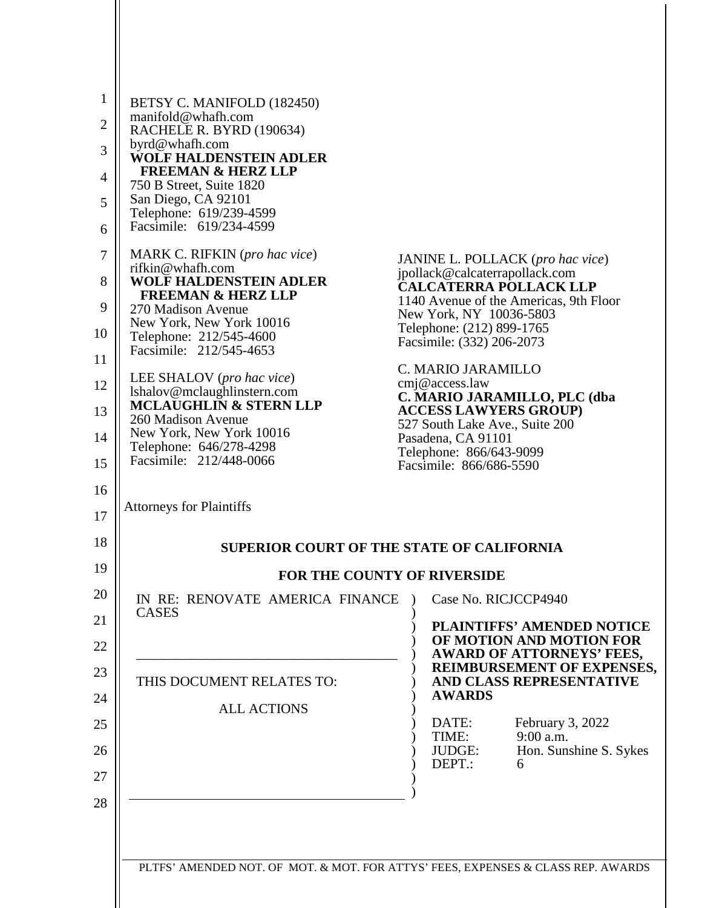| $\mathbf 1$    | BETSY C. MANIFOLD (182450)                                |                                                                                  |  |
|----------------|-----------------------------------------------------------|----------------------------------------------------------------------------------|--|
| $\overline{2}$ | manifold@whafh.com<br>RACHELE R. BYRD (190634)            |                                                                                  |  |
| 3              | byrd@whafh.com<br><b>WOLF HALDENSTEIN ADLER</b>           |                                                                                  |  |
| $\overline{4}$ | <b>FREEMAN &amp; HERZ LLP</b><br>750 B Street, Suite 1820 |                                                                                  |  |
| 5              | San Diego, CA 92101<br>Telephone: 619/239-4599            |                                                                                  |  |
| 6              | Facsimile: 619/234-4599                                   |                                                                                  |  |
| 7              | MARK C. RIFKIN (pro hac vice)<br>rifkin@whafh.com         | JANINE L. POLLACK (pro hac vice)                                                 |  |
| 8              | <b>WOLF HALDENSTEIN ADLER</b>                             | jpollack@calcaterrapollack.com<br><b>CALCATERRA POLLACK LLP</b>                  |  |
| 9              | <b>FREEMAN &amp; HERZ LLP</b><br>270 Madison Avenue       | 1140 Avenue of the Americas, 9th Floor<br>New York, NY 10036-5803                |  |
| 10             | New York, New York 10016<br>Telephone: 212/545-4600       | Telephone: (212) 899-1765<br>Facsimile: (332) 206-2073                           |  |
| 11             | Facsimile: 212/545-4653                                   | C. MARIO JARAMILLO                                                               |  |
| 12             | LEE SHALOV (pro hac vice)<br>lshalov@mclaughlinstern.com  | cmj@access.law<br>C. MARIO JARAMILLO, PLC (dba                                   |  |
| 13             | <b>MCLAUGHLIN &amp; STERN LLP</b><br>260 Madison Avenue   | <b>ACCESS LAWYERS GROUP)</b><br>527 South Lake Ave., Suite 200                   |  |
| 14             | New York, New York 10016<br>Telephone: 646/278-4298       | Pasadena, CA 91101<br>Telephone: 866/643-9099                                    |  |
| 15             | Facsimile: 212/448-0066                                   | Facsimile: 866/686-5590                                                          |  |
| 16<br>17       | <b>Attorneys for Plaintiffs</b>                           |                                                                                  |  |
| 18             | <b>SUPERIOR COURT OF THE STATE OF CALIFORNIA</b>          |                                                                                  |  |
| 19             | <b>FOR THE COUNTY OF RIVERSIDE</b>                        |                                                                                  |  |
| 20             | IN RE: RENOVATE AMERICA FINANCE<br>CASES                  | Case No. RICJCCP4940                                                             |  |
| 21             |                                                           | <b>PLAINTIFFS' AMENDED NOTICE</b><br>OF MOTION AND MOTION FOR                    |  |
| 22             |                                                           | <b>AWARD OF ATTORNEYS' FEES,</b><br>REIMBURSEMENT OF EXPENSES,                   |  |
| 23             | THIS DOCUMENT RELATES TO:                                 | AND CLASS REPRESENTATIVE<br><b>AWARDS</b>                                        |  |
| 24             | <b>ALL ACTIONS</b>                                        |                                                                                  |  |
| 25             |                                                           | DATE:<br>February 3, 2022<br>9:00 a.m.<br>TIME:                                  |  |
| 26             |                                                           | Hon. Sunshine S. Sykes<br>JUDGE:<br>DEPT.:<br>6                                  |  |
| 27<br>28       |                                                           |                                                                                  |  |
|                |                                                           |                                                                                  |  |
|                |                                                           |                                                                                  |  |
|                |                                                           | PLTFS' AMENDED NOT. OF MOT. & MOT. FOR ATTYS' FEES, EXPENSES & CLASS REP. AWARDS |  |
|                |                                                           |                                                                                  |  |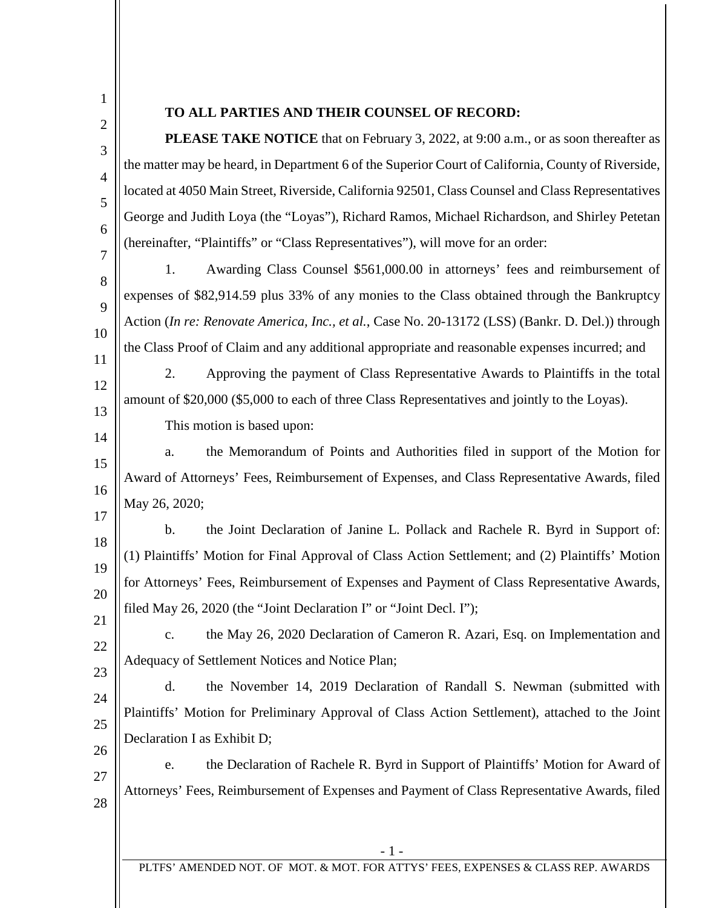1 2

3

4

5

6

7

12

13

14

## **TO ALL PARTIES AND THEIR COUNSEL OF RECORD:**

**PLEASE TAKE NOTICE** that on February 3, 2022, at 9:00 a.m., or as soon thereafter as the matter may be heard, in Department 6 of the Superior Court of California, County of Riverside, located at 4050 Main Street, Riverside, California 92501, Class Counsel and Class Representatives George and Judith Loya (the "Loyas"), Richard Ramos, Michael Richardson, and Shirley Petetan (hereinafter, "Plaintiffs" or "Class Representatives"), will move for an order:

8  $\mathbf Q$ 10 11 1. Awarding Class Counsel \$561,000.00 in attorneys' fees and reimbursement of expenses of \$82,914.59 plus 33% of any monies to the Class obtained through the Bankruptcy Action (*In re: Renovate America, Inc., et al.*, Case No. 20-13172 (LSS) (Bankr. D. Del.)) through the Class Proof of Claim and any additional appropriate and reasonable expenses incurred; and

2. Approving the payment of Class Representative Awards to Plaintiffs in the total amount of \$20,000 (\$5,000 to each of three Class Representatives and jointly to the Loyas).

This motion is based upon:

15 16 17 a. the Memorandum of Points and Authorities filed in support of the Motion for Award of Attorneys' Fees, Reimbursement of Expenses, and Class Representative Awards, filed May 26, 2020;

18 19 20 21 b. the Joint Declaration of Janine L. Pollack and Rachele R. Byrd in Support of: (1) Plaintiffs' Motion for Final Approval of Class Action Settlement; and (2) Plaintiffs' Motion for Attorneys' Fees, Reimbursement of Expenses and Payment of Class Representative Awards, filed May 26, 2020 (the "Joint Declaration I" or "Joint Decl. I");

22 23 c. the May 26, 2020 Declaration of Cameron R. Azari, Esq. on Implementation and Adequacy of Settlement Notices and Notice Plan;

24 25 26 d. the November 14, 2019 Declaration of Randall S. Newman (submitted with Plaintiffs' Motion for Preliminary Approval of Class Action Settlement), attached to the Joint Declaration I as Exhibit D;

27 28 e. the Declaration of Rachele R. Byrd in Support of Plaintiffs' Motion for Award of Attorneys' Fees, Reimbursement of Expenses and Payment of Class Representative Awards, filed

- 1 -

PLTFS' AMENDED NOT. OF MOT. & MOT. FOR ATTYS' FEES, EXPENSES & CLASS REP. AWARDS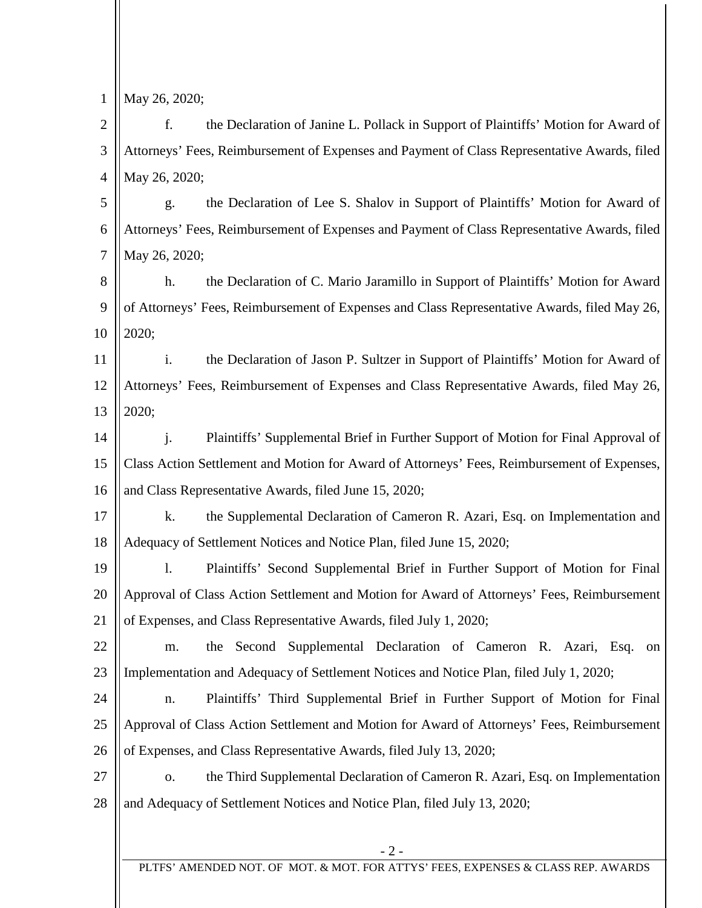1

May 26, 2020;

2 3 4 f. the Declaration of Janine L. Pollack in Support of Plaintiffs' Motion for Award of Attorneys' Fees, Reimbursement of Expenses and Payment of Class Representative Awards, filed May 26, 2020;

5 6 7 g. the Declaration of Lee S. Shalov in Support of Plaintiffs' Motion for Award of Attorneys' Fees, Reimbursement of Expenses and Payment of Class Representative Awards, filed May 26, 2020;

8 9 10 h. the Declaration of C. Mario Jaramillo in Support of Plaintiffs' Motion for Award of Attorneys' Fees, Reimbursement of Expenses and Class Representative Awards, filed May 26, 2020;

11 12 13 i. the Declaration of Jason P. Sultzer in Support of Plaintiffs' Motion for Award of Attorneys' Fees, Reimbursement of Expenses and Class Representative Awards, filed May 26, 2020;

14 15 16 j. Plaintiffs' Supplemental Brief in Further Support of Motion for Final Approval of Class Action Settlement and Motion for Award of Attorneys' Fees, Reimbursement of Expenses, and Class Representative Awards, filed June 15, 2020;

17 18 k. the Supplemental Declaration of Cameron R. Azari, Esq. on Implementation and Adequacy of Settlement Notices and Notice Plan, filed June 15, 2020;

19 20 21 l. Plaintiffs' Second Supplemental Brief in Further Support of Motion for Final Approval of Class Action Settlement and Motion for Award of Attorneys' Fees, Reimbursement of Expenses, and Class Representative Awards, filed July 1, 2020;

22 23 m. the Second Supplemental Declaration of Cameron R. Azari, Esq. on Implementation and Adequacy of Settlement Notices and Notice Plan, filed July 1, 2020;

24 25 26 n. Plaintiffs' Third Supplemental Brief in Further Support of Motion for Final Approval of Class Action Settlement and Motion for Award of Attorneys' Fees, Reimbursement of Expenses, and Class Representative Awards, filed July 13, 2020;

27 28 o. the Third Supplemental Declaration of Cameron R. Azari, Esq. on Implementation and Adequacy of Settlement Notices and Notice Plan, filed July 13, 2020;

PLTFS' AMENDED NOT. OF MOT. & MOT. FOR ATTYS' FEES, EXPENSES & CLASS REP. AWARDS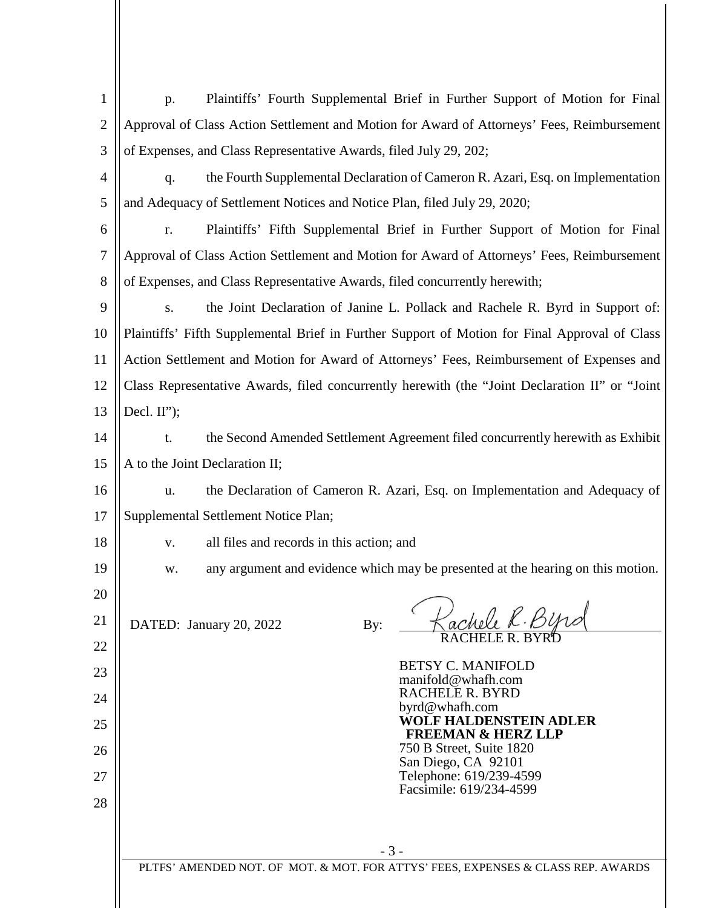| 1              | Plaintiffs' Fourth Supplemental Brief in Further Support of Motion for Final<br>p.              |  |  |
|----------------|-------------------------------------------------------------------------------------------------|--|--|
| $\overline{2}$ | Approval of Class Action Settlement and Motion for Award of Attorneys' Fees, Reimbursement      |  |  |
| 3              | of Expenses, and Class Representative Awards, filed July 29, 202;                               |  |  |
| 4              | the Fourth Supplemental Declaration of Cameron R. Azari, Esq. on Implementation<br>q.           |  |  |
| 5              | and Adequacy of Settlement Notices and Notice Plan, filed July 29, 2020;                        |  |  |
| 6              | Plaintiffs' Fifth Supplemental Brief in Further Support of Motion for Final<br>r.               |  |  |
| 7              | Approval of Class Action Settlement and Motion for Award of Attorneys' Fees, Reimbursement      |  |  |
| 8              | of Expenses, and Class Representative Awards, filed concurrently herewith;                      |  |  |
| 9              | the Joint Declaration of Janine L. Pollack and Rachele R. Byrd in Support of:<br>S.             |  |  |
| 10             | Plaintiffs' Fifth Supplemental Brief in Further Support of Motion for Final Approval of Class   |  |  |
| 11             | Action Settlement and Motion for Award of Attorneys' Fees, Reimbursement of Expenses and        |  |  |
| 12             | Class Representative Awards, filed concurrently herewith (the "Joint Declaration II" or "Joint" |  |  |
| 13             | Decl. $II$ ");                                                                                  |  |  |
| 14             | the Second Amended Settlement Agreement filed concurrently herewith as Exhibit<br>t.            |  |  |
| 15             | A to the Joint Declaration II;                                                                  |  |  |
| 16             | the Declaration of Cameron R. Azari, Esq. on Implementation and Adequacy of<br>u.               |  |  |
| 17             | Supplemental Settlement Notice Plan;                                                            |  |  |
| 18             | all files and records in this action; and<br>${\bf V}$ .                                        |  |  |
| 19             | any argument and evidence which may be presented at the hearing on this motion.<br>w.           |  |  |
| 20             |                                                                                                 |  |  |
| 21             | Jachele R. Byre<br>DATED: January 20, 2022<br>By:                                               |  |  |
| 22             |                                                                                                 |  |  |
| 23             | <b>BETSY C. MANIFOLD</b><br>manifold@whafh.com                                                  |  |  |
| 24             | <b>RACHELE R. BYRD</b><br>byrd@whafh.com                                                        |  |  |
| 25             | <b>WOLF HALDENSTEIN ADLER</b><br><b>FREEMAN &amp; HERZ LLP</b>                                  |  |  |
| 26             | 750 B Street, Suite 1820<br>San Diego, CA 92101                                                 |  |  |
| 27             | Telephone: 619/239-4599                                                                         |  |  |
| 28             | Facsimile: 619/234-4599                                                                         |  |  |
|                |                                                                                                 |  |  |
|                | $-3-$                                                                                           |  |  |
|                | PLTFS' AMENDED NOT. OF MOT. & MOT. FOR ATTYS' FEES, EXPENSES & CLASS REP. AWARDS                |  |  |
|                |                                                                                                 |  |  |